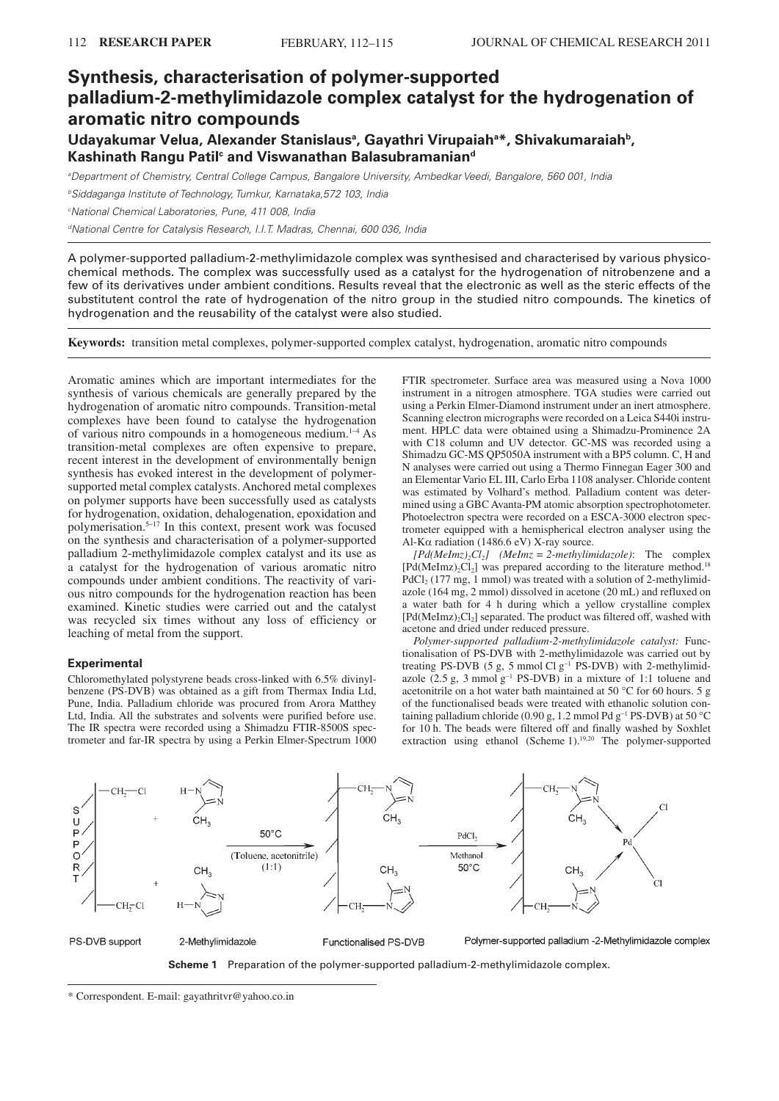# **Synthesis, characterisation of polymer-supported palladium-2-methylimidazole complex catalyst for the hydrogenation of aromatic nitro compounds Udayakumar Velua, Alexander Stanislaus<sup>a</sup> , Gayathri Virupaiah<sup>a</sup>\*, Shivakumaraiah<sup>b</sup> ,**

**Kashinath Rangu Patil<sup>c</sup> and Viswanathan Balasubramanian<sup>d</sup>**

aDepartment of Chemistry, Central College Campus, Bangalore University, Ambedkar Veedi, Bangalore, 560 001, India

**bSiddaganga Institute of Technology, Tumkur, Karnataka, 572 103, India** 

<sup>c</sup>National Chemical Laboratories, Pune, 411 008, India

dNational Centre for Catalysis Research, I.I.T. Madras, Chennai, 600 036, India

A polymer-supported palladium-2-methylimidazole complex was synthesised and characterised by various physicochemical methods. The complex was successfully used as a catalyst for the hydrogenation of nitrobenzene and a few of its derivatives under ambient conditions. Results reveal that the electronic as well as the steric effects of the substitutent control the rate of hydrogenation of the nitro group in the studied nitro compounds. The kinetics of hydrogenation and the reusability of the catalyst were also studied.

**Keywords:** transition metal complexes, polymer-supported complex catalyst, hydrogenation, aromatic nitro compounds

Aromatic amines which are important intermediates for the synthesis of various chemicals are generally prepared by the hydrogenation of aromatic nitro compounds. Transition-metal complexes have been found to catalyse the hydrogenation of various nitro compounds in a homogeneous medium.1–4 As transition-metal complexes are often expensive to prepare, recent interest in the development of environmentally benign synthesis has evoked interest in the development of polymersupported metal complex catalysts. Anchored metal complexes on polymer supports have been successfully used as catalysts for hydrogenation, oxidation, dehalogenation, epoxidation and polymerisation.5–17 In this context, present work was focused on the synthesis and characterisation of a polymer-supported palladium 2-methylimidazole complex catalyst and its use as a catalyst for the hydrogenation of various aromatic nitro compounds under ambient conditions. The reactivity of various nitro compounds for the hydrogenation reaction has been examined. Kinetic studies were carried out and the catalyst was recycled six times without any loss of efficiency or leaching of metal from the support.

## **Experimental**

Chloromethylated polystyrene beads cross-linked with 6.5% divinylbenzene (PS-DVB) was obtained as a gift from Thermax India Ltd, Pune, India. Palladium chloride was procured from Arora Matthey Ltd, India. All the substrates and solvents were purified before use. The IR spectra were recorded using a Shimadzu FTIR-8500S spectrometer and far-IR spectra by using a Perkin Elmer-Spectrum 1000

FTIR spectrometer. Surface area was measured using a Nova 1000 instrument in a nitrogen atmosphere. TGA studies were carried out using a Perkin Elmer-Diamond instrument under an inert atmosphere. Scanning electron micrographs were recorded on a Leica S440i instrument. HPLC data were obtained using a Shimadzu-Prominence 2A with C18 column and UV detector. GC-MS was recorded using a Shimadzu GC-MS QP5050A instrument with a BP5 column. C, H and N analyses were carried out using a Thermo Finnegan Eager 300 and an Elementar Vario EL III, Carlo Erba 1108 analyser. Chloride content was estimated by Volhard's method. Palladium content was determined using a GBC Avanta-PM atomic absorption spectrophotometer. Photoelectron spectra were recorded on a ESCA-3000 electron spectrometer equipped with a hemispherical electron analyser using the Al-K $\alpha$  radiation (1486.6 eV) X-ray source.

 $[Pd(Melmz)_{2}Cl_{2}]$  (*MeImz* = 2-methylimidazole): The complex  $[Pd(Melmz)<sub>2</sub>Cl<sub>2</sub>]$  was prepared according to the literature method.<sup>18</sup>  $PdCl<sub>2</sub>$  (177 mg, 1 mmol) was treated with a solution of 2-methylimidazole (164 mg, 2 mmol) dissolved in acetone (20 mL) and refluxed on a water bath for 4 h during which a yellow crystalline complex  $[Pd(Melmz)<sub>2</sub>Cl<sub>2</sub>]$  separated. The product was filtered off, washed with acetone and dried under reduced pressure.

*Polymer-supported palladium-2-methylimidazole catalyst:* Functionalisation of PS-DVB with 2-methylimidazole was carried out by treating PS-DVB (5 g, 5 mmol Cl g<sup>-1</sup> PS-DVB) with 2-methylimidazole  $(2.5 \text{ g}, 3 \text{ mmol g}^{-1} \text{ PS-DVB})$  in a mixture of 1:1 toluene and acetonitrile on a hot water bath maintained at 50 °C for 60 hours. 5 g of the functionalised beads were treated with ethanolic solution containing palladium chloride (0.90 g, 1.2 mmol Pd  $g^{-1}$  PS-DVB) at 50 °C for 10 h. The beads were filtered off and finally washed by Soxhlet extraction using ethanol (Scheme 1).<sup>19,20</sup> The polymer-supported





\* Correspondent. E-mail: gayathritvr@yahoo.co.in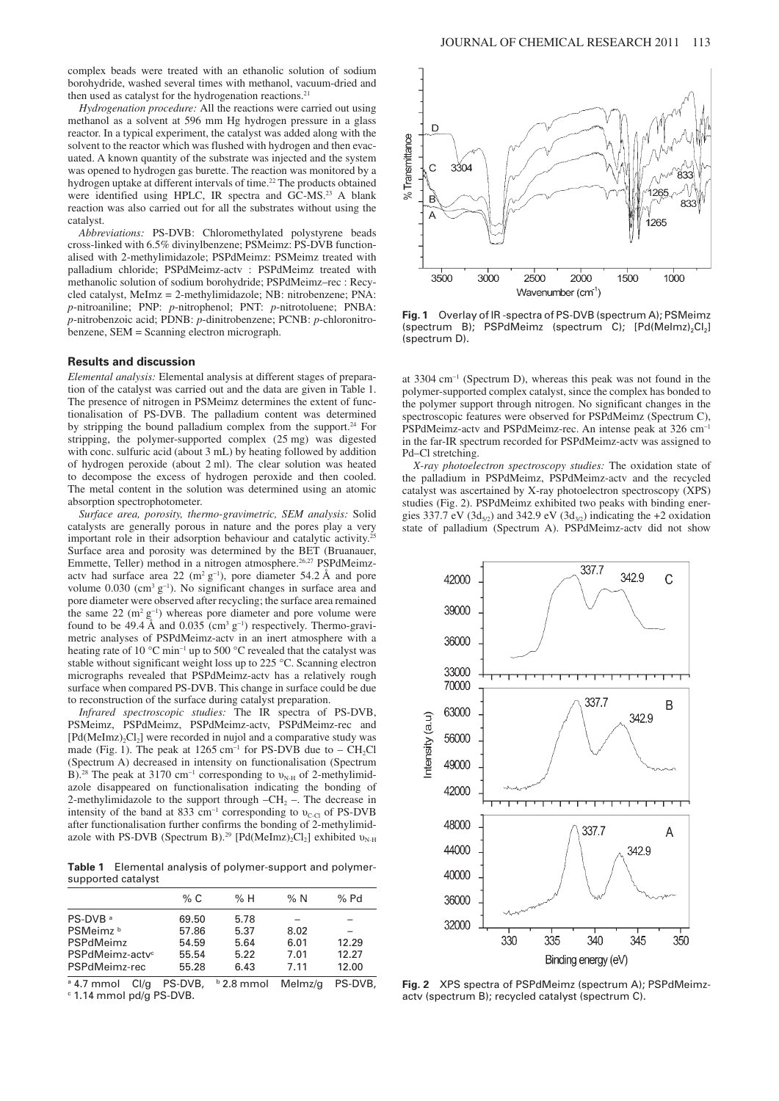complex beads were treated with an ethanolic solution of sodium borohydride, washed several times with methanol, vacuum-dried and then used as catalyst for the hydrogenation reactions.<sup>2</sup>

*Hydrogenation procedure:* All the reactions were carried out using methanol as a solvent at 596 mm Hg hydrogen pressure in a glass reactor. In a typical experiment, the catalyst was added along with the solvent to the reactor which was flushed with hydrogen and then evacuated. A known quantity of the substrate was injected and the system was opened to hydrogen gas burette. The reaction was monitored by a hydrogen uptake at different intervals of time.<sup>22</sup> The products obtained were identified using HPLC, IR spectra and GC-MS.<sup>23</sup> A blank reaction was also carried out for all the substrates without using the catalyst.

*Abbreviations:* PS-DVB: Chloromethylated polystyrene beads cross-linked with 6.5% divinylbenzene; PSMeimz: PS-DVB functionalised with 2-methylimidazole; PSPdMeimz: PSMeimz treated with palladium chloride; PSPdMeimz-actv : PSPdMeimz treated with methanolic solution of sodium borohydride; PSPdMeimz–rec : Recycled catalyst, MeImz = 2-methylimidazole; NB: nitrobenzene; PNA: *p*-nitroaniline; PNP: *p*-nitrophenol; PNT: *p*-nitrotoluene; PNBA: *p*-nitrobenzoic acid; PDNB: *p*-dinitrobenzene; PCNB: *p*-chloronitrobenzene, SEM = Scanning electron micrograph.

#### **Results and discussion**

*Elemental analysis:* Elemental analysis at different stages of preparation of the catalyst was carried out and the data are given in Table 1. The presence of nitrogen in PSMeimz determines the extent of functionalisation of PS-DVB. The palladium content was determined by stripping the bound palladium complex from the support.<sup>24</sup> For stripping, the polymer-supported complex (25 mg) was digested with conc. sulfuric acid (about 3 mL) by heating followed by addition of hydrogen peroxide (about 2 ml). The clear solution was heated to decompose the excess of hydrogen peroxide and then cooled. The metal content in the solution was determined using an atomic absorption spectrophotometer.

*Surface area, porosity, thermo-gravimetric, SEM analysis:* Solid catalysts are generally porous in nature and the pores play a very important role in their adsorption behaviour and catalytic activity.<sup>25</sup> Surface area and porosity was determined by the BET (Bruanauer, Emmette, Teller) method in a nitrogen atmosphere.26,27 PSPdMeimzactv had surface area 22 (m<sup>2</sup> g<sup>-1</sup>), pore diameter 54.2 Å and pore volume  $0.030$  (cm<sup>3</sup> g<sup>-1</sup>). No significant changes in surface area and pore diameter were observed after recycling; the surface area remained the same  $22 \, \text{(m}^2 \, \text{g}^{-1})$  whereas pore diameter and pore volume were found to be 49.4 Å and 0.035 (cm<sup>3</sup>  $g^{-1}$ ) respectively. Thermo-gravimetric analyses of PSPdMeimz-actv in an inert atmosphere with a heating rate of 10 °C min<sup>-1</sup> up to 500 °C revealed that the catalyst was stable without significant weight loss up to 225 °C. Scanning electron micrographs revealed that PSPdMeimz-actv has a relatively rough surface when compared PS-DVB. This change in surface could be due to reconstruction of the surface during catalyst preparation.

*Infrared spectroscopic studies:* The IR spectra of PS-DVB, PSMeimz, PSPdMeimz, PSPdMeimz-actv, PSPdMeimz-rec and  $[Pd(Melmz)<sub>2</sub>Cl<sub>2</sub>]$  were recorded in nujol and a comparative study was made (Fig. 1). The peak at  $1265 \text{ cm}^{-1}$  for PS-DVB due to – CH<sub>2</sub>Cl (Spectrum A) decreased in intensity on functionalisation (Spectrum B).<sup>28</sup> The peak at 3170 cm<sup>-1</sup> corresponding to  $v_{N-H}$  of 2-methylimidazole disappeared on functionalisation indicating the bonding of 2-methylimidazole to the support through  $-CH_2$  –. The decrease in intensity of the band at 833 cm<sup>-1</sup> corresponding to  $v_{C-CI}$  of PS-DVB after functionalisation further confirms the bonding of 2-methylimidazole with PS-DVB (Spectrum B).<sup>29</sup> [Pd(MeImz)<sub>2</sub>Cl<sub>2</sub>] exhibited  $v_{N-H}$ 

**Table 1** Elemental analysis of polymer-support and polymersupported catalyst

|                             | % C   | % H  | % $N$ | $%$ Pd |
|-----------------------------|-------|------|-------|--------|
| PS-DVB <sup>a</sup>         | 69.50 | 5.78 |       |        |
| PSMeimz <sup>b</sup>        | 57.86 | 5.37 | 8.02  |        |
| PSPdMeimz                   | 54.59 | 5.64 | 6.01  | 12.29  |
| PSPdMeimz-actv <sup>c</sup> | 55.54 | 5.22 | 7.01  | 12.27  |
| PSPdMeimz-rec               | 55.28 | 6.43 | 7.11  | 12.00  |

<sup>a</sup> 4.7 mmol Cl/g PS-DVB, <sup>b</sup> 2.8 mmol Melmz/g PS-DVB, c 1.14 mmol pd/g PS-DVB.



**Fig. 1** Overlay of IR -spectra of PS-DVB (spectrum A); PSMeimz (spectrum B); PSPdMeimz (spectrum C);  $[Pd(Melmz)<sub>2</sub>Cl<sub>2</sub>]$ (spectrum D).

at 3304 cm<sup>−</sup><sup>1</sup> (Spectrum D), whereas this peak was not found in the polymer-supported complex catalyst, since the complex has bonded to the polymer support through nitrogen. No significant changes in the spectroscopic features were observed for PSPdMeimz (Spectrum C), PSPdMeimz-actv and PSPdMeimz-rec. An intense peak at 326 cm<sup>-1</sup> in the far-IR spectrum recorded for PSPdMeimz-actv was assigned to Pd–Cl stretching.

*X-ray photoelectron spectroscopy studies:* The oxidation state of the palladium in PSPdMeimz, PSPdMeimz-actv and the recycled catalyst was ascertained by X-ray photoelectron spectroscopy (XPS) studies (Fig. 2). PSPdMeimz exhibited two peaks with binding energies 337.7 eV (3d<sub>5/2</sub>) and 342.9 eV (3d<sub>3/2</sub>) indicating the +2 oxidation state of palladium (Spectrum A). PSPdMeimz-actv did not show



**Fig. 2** XPS spectra of PSPdMeimz (spectrum A); PSPdMeimzactv (spectrum B); recycled catalyst (spectrum C).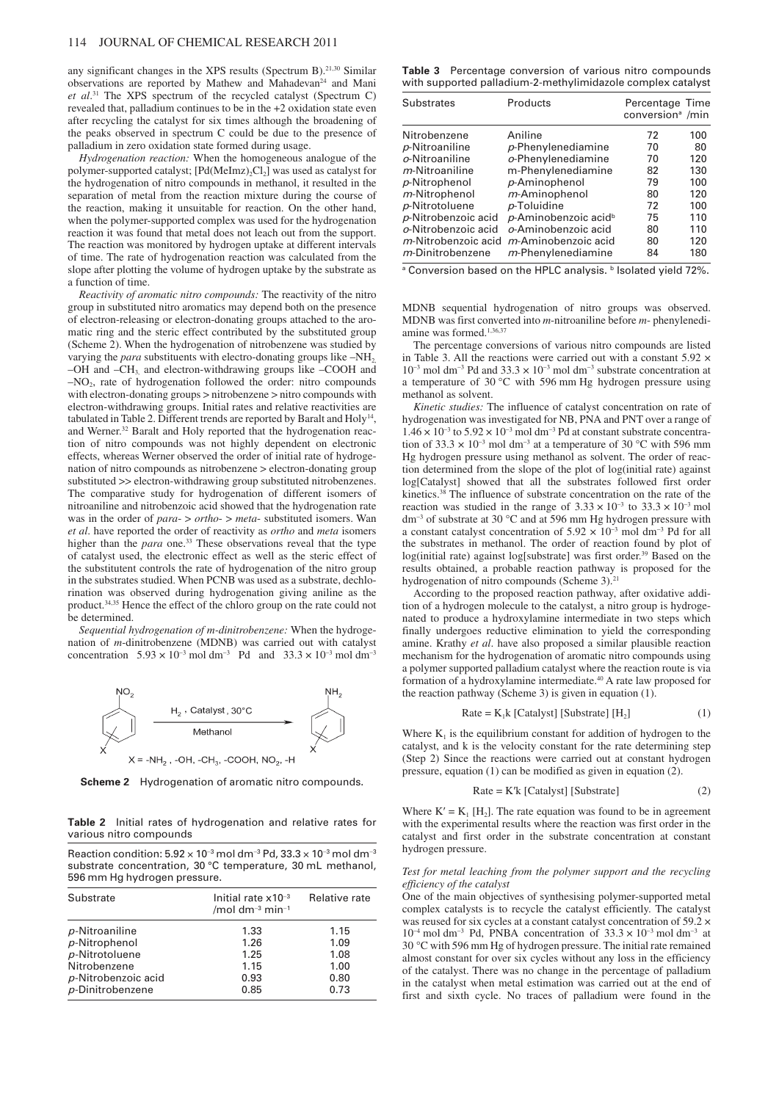any significant changes in the XPS results (Spectrum B).<sup>21,30</sup> Similar observations are reported by Mathew and Mahadevan<sup>24</sup> and Mani *et al*. <sup>31</sup> The XPS spectrum of the recycled catalyst (Spectrum C) revealed that, palladium continues to be in the +2 oxidation state even after recycling the catalyst for six times although the broadening of the peaks observed in spectrum C could be due to the presence of palladium in zero oxidation state formed during usage.

*Hydrogenation reaction:* When the homogeneous analogue of the polymer-supported catalyst;  $[Pd(Melmz)_2Cl_2]$  was used as catalyst for the hydrogenation of nitro compounds in methanol, it resulted in the separation of metal from the reaction mixture during the course of the reaction, making it unsuitable for reaction. On the other hand, when the polymer-supported complex was used for the hydrogenation reaction it was found that metal does not leach out from the support. The reaction was monitored by hydrogen uptake at different intervals of time. The rate of hydrogenation reaction was calculated from the slope after plotting the volume of hydrogen uptake by the substrate as a function of time.

*Reactivity of aromatic nitro compounds:* The reactivity of the nitro group in substituted nitro aromatics may depend both on the presence of electron-releasing or electron-donating groups attached to the aromatic ring and the steric effect contributed by the substituted group (Scheme 2). When the hydrogenation of nitrobenzene was studied by varying the *para* substituents with electro-donating groups like -NH<sub>2</sub>, –OH and –CH3, and electron-withdrawing groups like –COOH and  $-NO<sub>2</sub>$ , rate of hydrogenation followed the order: nitro compounds with electron-donating groups > nitrobenzene > nitro compounds with electron-withdrawing groups. Initial rates and relative reactivities are tabulated in Table 2. Different trends are reported by Baralt and Holy<sup>14</sup>, and Werner.<sup>32</sup> Baralt and Holy reported that the hydrogenation reaction of nitro compounds was not highly dependent on electronic effects, whereas Werner observed the order of initial rate of hydrogenation of nitro compounds as nitrobenzene > electron-donating group substituted >> electron-withdrawing group substituted nitrobenzenes. The comparative study for hydrogenation of different isomers of nitroaniline and nitrobenzoic acid showed that the hydrogenation rate was in the order of *para*- > *ortho*- > *meta*- substituted isomers. Wan *et al*. have reported the order of reactivity as *ortho* and *meta* isomers higher than the *para* one.<sup>33</sup> These observations reveal that the type of catalyst used, the electronic effect as well as the steric effect of the substitutent controls the rate of hydrogenation of the nitro group in the substrates studied. When PCNB was used as a substrate, dechlorination was observed during hydrogenation giving aniline as the product.34,35 Hence the effect of the chloro group on the rate could not be determined.

*Sequential hydrogenation of m-dinitrobenzene:* When the hydrogenation of *m*-dinitrobenzene (MDNB) was carried out with catalyst concentration  $5.93 \times 10^{-3}$  mol dm<sup>-3</sup> Pd and  $33.3 \times 10^{-3}$  mol dm<sup>-3</sup>



**Scheme 2** Hydrogenation of aromatic nitro compounds.

**Table 2** Initial rates of hydrogenation and relative rates for various nitro compounds

| Reaction condition: $5.92 \times 10^{-3}$ mol dm <sup>-3</sup> Pd. $33.3 \times 10^{-3}$ mol dm <sup>-3</sup> |
|---------------------------------------------------------------------------------------------------------------|
| substrate concentration, 30 °C temperature, 30 mL methanol,                                                   |
| 596 mm Hg hydrogen pressure.                                                                                  |

| Substrate              | Initial rate $x10^{-3}$<br>/mol dm <sup>-3</sup> min <sup>-1</sup> | Relative rate |
|------------------------|--------------------------------------------------------------------|---------------|
| p-Nitroaniline         | 1.33                                                               | 1.15          |
| p-Nitrophenol          | 1.26                                                               | 1.09          |
| p-Nitrotoluene         | 1.25                                                               | 1.08          |
| Nitrobenzene           | 1.15                                                               | 1.00          |
| $p$ -Nitrobenzoic acid | 0.93                                                               | 0.80          |
| $p$ -Dinitrobenzene    | 0.85                                                               | 0.73          |

**Table 3** Percentage conversion of various nitro compounds with supported palladium-2-methylimidazole complex catalyst

| <b>Substrates</b>        | Products                         | Percentage Time<br>conversion <sup>ª</sup> /min |     |
|--------------------------|----------------------------------|-------------------------------------------------|-----|
| Nitrobenzene             | Aniline                          | 72                                              | 100 |
| p-Nitroaniline           | p-Phenylenediamine               | 70                                              | 80  |
| o-Nitroaniline           | $o$ -Phenylenediamine            | 70                                              | 120 |
| <i>m</i> -Nitroaniline   | m-Phenylenediamine               | 82                                              | 130 |
| p-Nitrophenol            | p-Aminophenol                    | 79                                              | 100 |
| m-Nitrophenol            | m-Aminophenol                    | 80                                              | 120 |
| p-Nitrotoluene           | p-Toluidine                      | 72                                              | 100 |
| p-Nitrobenzoic acid      | p-Aminobenzoic acid <sup>b</sup> | 75                                              | 110 |
| o-Nitrobenzoic acid      | o-Aminobenzoic acid              | 80                                              | 110 |
| m-Nitrobenzoic acid      | <i>m</i> -Aminobenzoic acid      | 80                                              | 120 |
| <i>m</i> -Dinitrobenzene | <i>m</i> -Phenylenediamine       | 84                                              | 180 |
|                          | .                                |                                                 |     |

a Conversion based on the HPLC analysis. b Isolated yield 72%.

MDNB sequential hydrogenation of nitro groups was observed. MDNB was first converted into *m*-nitroaniline before *m*- phenylenediamine was formed.<sup>1,36,37</sup>

The percentage conversions of various nitro compounds are listed in Table 3. All the reactions were carried out with a constant 5.92 × 10<sup>−</sup><sup>3</sup> mol dm<sup>−</sup><sup>3</sup> Pd and 33.3 × 10<sup>−</sup><sup>3</sup> mol dm<sup>−</sup><sup>3</sup> substrate concentration at a temperature of 30 °C with 596 mm Hg hydrogen pressure using methanol as solvent.

*Kinetic studies:* The influence of catalyst concentration on rate of hydrogenation was investigated for NB, PNA and PNT over a range of  $1.46 \times 10^{-3}$  to  $5.92 \times 10^{-3}$  mol dm<sup>-3</sup> Pd at constant substrate concentration of 33.3  $\times$  10<sup>-3</sup> mol dm<sup>-3</sup> at a temperature of 30 °C with 596 mm Hg hydrogen pressure using methanol as solvent. The order of reaction determined from the slope of the plot of log(initial rate) against log[Catalyst] showed that all the substrates followed first order kinetics.<sup>38</sup> The influence of substrate concentration on the rate of the reaction was studied in the range of  $3.33 \times 10^{-3}$  to  $33.3 \times 10^{-3}$  mol dm<sup>−</sup><sup>3</sup> of substrate at 30 °C and at 596 mm Hg hydrogen pressure with a constant catalyst concentration of  $5.92 \times 10^{-3}$  mol dm<sup>-3</sup> Pd for all the substrates in methanol. The order of reaction found by plot of log(initial rate) against log[substrate] was first order.<sup>39</sup> Based on the results obtained, a probable reaction pathway is proposed for the hydrogenation of nitro compounds (Scheme 3).<sup>21</sup>

According to the proposed reaction pathway, after oxidative addition of a hydrogen molecule to the catalyst, a nitro group is hydrogenated to produce a hydroxylamine intermediate in two steps which finally undergoes reductive elimination to yield the corresponding amine. Krathy *et al*. have also proposed a similar plausible reaction mechanism for the hydrogenation of aromatic nitro compounds using a polymer supported palladium catalyst where the reaction route is via formation of a hydroxylamine intermediate.<sup>40</sup> A rate law proposed for the reaction pathway (Scheme 3) is given in equation (1).

$$
Rate = K1k [Catalyst] [Substrate] [H2] \t(1)
$$

Where  $K_1$  is the equilibrium constant for addition of hydrogen to the catalyst, and k is the velocity constant for the rate determining step (Step 2) Since the reactions were carried out at constant hydrogen pressure, equation (1) can be modified as given in equation (2).

$$
Rate = K'k [Catalyst] [Substrate]
$$
 (2)

Where  $K' = K_1[H_2]$ . The rate equation was found to be in agreement with the experimental results where the reaction was first order in the catalyst and first order in the substrate concentration at constant hydrogen pressure.

#### *Test for metal leaching from the polymer support and the recycling efficiency of the catalyst*

One of the main objectives of synthesising polymer-supported metal complex catalysts is to recycle the catalyst efficiently. The catalyst was reused for six cycles at a constant catalyst concentration of 59.2  $\times$ 10<sup>-4</sup> mol dm<sup>-3</sup> Pd, PNBA concentration of 33.3 × 10<sup>-3</sup> mol dm<sup>-3</sup> at 30 °C with 596 mm Hg of hydrogen pressure. The initial rate remained almost constant for over six cycles without any loss in the efficiency of the catalyst. There was no change in the percentage of palladium in the catalyst when metal estimation was carried out at the end of first and sixth cycle. No traces of palladium were found in the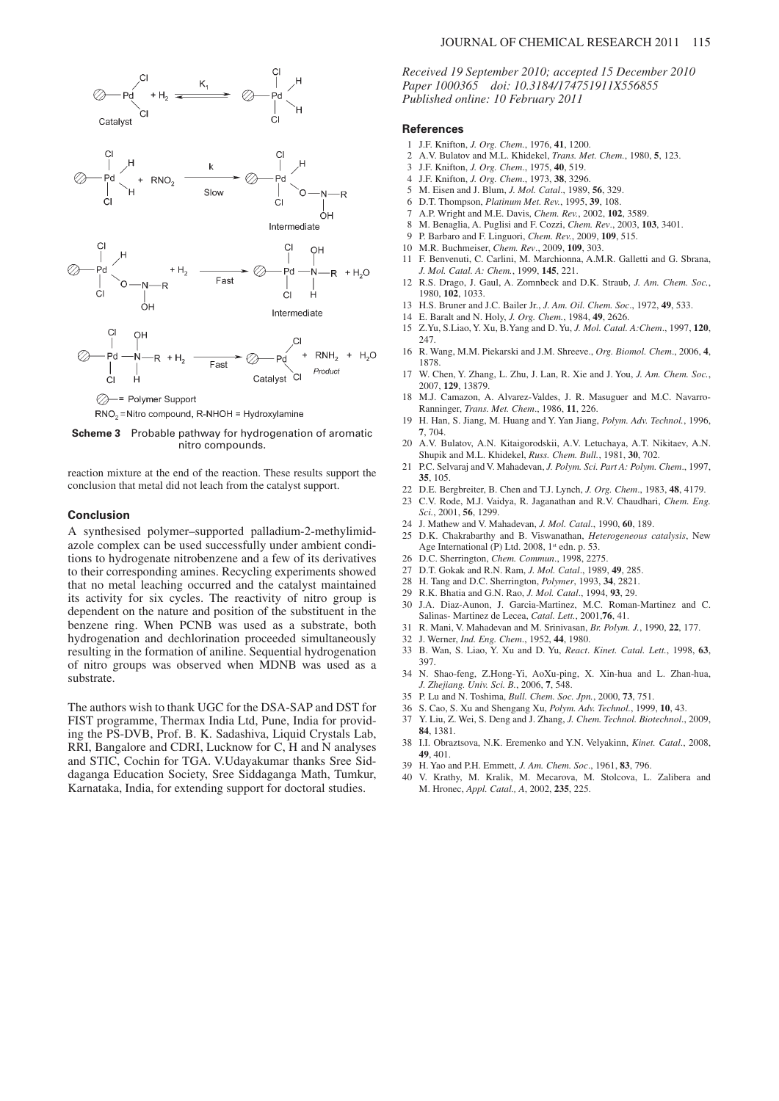



reaction mixture at the end of the reaction. These results support the conclusion that metal did not leach from the catalyst support.

#### **Conclusion**

A synthesised polymer–supported palladium-2-methylimidazole complex can be used successfully under ambient conditions to hydrogenate nitrobenzene and a few of its derivatives to their corresponding amines. Recycling experiments showed that no metal leaching occurred and the catalyst maintained its activity for six cycles. The reactivity of nitro group is dependent on the nature and position of the substituent in the benzene ring. When PCNB was used as a substrate, both hydrogenation and dechlorination proceeded simultaneously resulting in the formation of aniline. Sequential hydrogenation of nitro groups was observed when MDNB was used as a substrate.

The authors wish to thank UGC for the DSA-SAP and DST for FIST programme, Thermax India Ltd, Pune, India for providing the PS-DVB, Prof. B. K. Sadashiva, Liquid Crystals Lab, RRI, Bangalore and CDRI, Lucknow for C, H and N analyses and STIC, Cochin for TGA. V.Udayakumar thanks Sree Siddaganga Education Society, Sree Siddaganga Math, Tumkur, Karnataka, India, for extending support for doctoral studies.

### JOURNAL OF CHEMICAL RESEARCH 2011 115

*Received 19 September 2010; accepted 15 December 2010 Paper 1000365 doi: 10.3184/174751911X556855 Published online: 10 February 2011*

#### **References**

- 1 J.F. Knifton, *J. Org. Chem.*, 1976, **41**, 1200.
- 2 A.V. Bulatov and M.L. Khidekel, *Trans. Met. Chem.*, 1980, **5**, 123.
- 3 J.F. Knifton, *J. Org. Chem*., 1975, **40**, 519.
- 4 J.F. Knifton, *J. Org. Chem*., 1973, **38**, 3296.
- 5 M. Eisen and J. Blum, *J. Mol. Catal*., 1989, **56**, 329.
- 6 D.T. Thompson, *Platinum Met. Rev.*, 1995, **39**, 108.
- 7 A.P. Wright and M.E. Davis, *Chem. Rev.*, 2002, **102**, 3589.
- 8 M. Benaglia, A. Puglisi and F. Cozzi, *Chem. Rev*., 2003, **103**, 3401.
- 9 P. Barbaro and F. Linguori, *Chem. Rev.*, 2009, **109**, 515.
- 10 M.R. Buchmeiser, *Chem. Rev*., 2009, **109**, 303.
- 11 F. Benvenuti, C. Carlini, M. Marchionna, A.M.R. Galletti and G. Sbrana, *J. Mol. Catal. A: Chem.*, 1999, **145**, 221.
- 12 R.S. Drago, J. Gaul, A. Zomnbeck and D.K. Straub, *J. Am. Chem. Soc.*, 1980, **102**, 1033.
- 13 H.S. Bruner and J.C. Bailer Jr., *J. Am. Oil. Chem. Soc*., 1972, **49**, 533.
- 14 E. Baralt and N. Holy, *J. Org. Chem.*, 1984, **49**, 2626.
- 15 Z.Yu, S.Liao, Y. Xu, B.Yang and D. Yu, *J. Mol. Catal. A:Chem*., 1997, **120**, 247.
- 16 R. Wang, M.M. Piekarski and J.M. Shreeve., *Org. Biomol. Chem*., 2006, **4**, 1878.
- 17 W. Chen, Y. Zhang, L. Zhu, J. Lan, R. Xie and J. You, *J. Am. Chem. Soc.*, 2007, **129**, 13879.
- 18 M.J. Camazon, A. Alvarez-Valdes, J. R. Masuguer and M.C. Navarro-Ranninger, *Trans. Met. Chem*., 1986, **11**, 226.
- 19 H. Han, S. Jiang, M. Huang and Y. Yan Jiang, *Polym. Adv. Technol.*, 1996, **7**, 704.
- 20 A.V. Bulatov, A.N. Kitaigorodskii, A.V. Letuchaya, A.T. Nikitaev, A.N. Shupik and M.L. Khidekel, *Russ. Chem. Bull.*, 1981, **30**, 702.
- 21 P.C. Selvaraj and V. Mahadevan, *J. Polym. Sci. Part A: Polym. Chem*., 1997, **35**, 105.
- 22 D.E. Bergbreiter, B. Chen and T.J. Lynch, *J. Org. Chem*., 1983, **48**, 4179. 23 C.V. Rode, M.J. Vaidya, R. Jaganathan and R.V. Chaudhari, *Chem. Eng.*
- *Sci.*, 2001, **56**, 1299.
- 24 J. Mathew and V. Mahadevan, *J. Mol. Catal*., 1990, **60**, 189.
- 25 D.K. Chakrabarthy and B. Viswanathan, *Heterogeneous catalysis*, New Age International (P) Ltd. 2008,  $1<sup>st</sup>$  edn. p. 53.
- 26 D.C. Sherrington, *Chem. Commun*., 1998, 2275.
- 27 D.T. Gokak and R.N. Ram, *J. Mol. Catal*., 1989, **49**, 285.
- 28 H. Tang and D.C. Sherrington, *Polymer*, 1993, **34**, 2821.
- 29 R.K. Bhatia and G.N. Rao, *J. Mol. Catal*., 1994, **93**, 29.
- 30 J.A. Diaz-Aunon, J. Garcia-Martinez, M.C. Roman-Martinez and C. Salinas- Martinez de Lecea, *Catal. Lett.*, 2001,**76**, 41.
- 31 R. Mani, V. Mahadevan and M. Srinivasan, *Br. Polym. J.*, 1990, **22**, 177.
- 32 J. Werner, *Ind. Eng. Chem*., 1952, **44**, 1980.
- 33 B. Wan, S. Liao, Y. Xu and D. Yu, *React*. *Kinet. Catal. Lett.*, 1998, **63**, 397.
- 34 N. Shao-feng, Z.Hong-Yi, AoXu-ping, X. Xin-hua and L. Zhan-hua, *J. Zhejiang. Univ. Sci. B.*, 2006, **7**, 548.
- 35 P. Lu and N. Toshima, *Bull. Chem. Soc. Jpn.*, 2000, **73**, 751.
- 
- 36 S. Cao, S. Xu and Shengang Xu, *Polym. Adv. Technol.*, 1999, **10**, 43. 37 Y. Liu, Z. Wei, S. Deng and J. Zhang, *J. Chem. Technol. Biotechnol*., 2009, **84**, 1381.
- 38 I.I. Obraztsova, N.K. Eremenko and Y.N. Velyakinn, *Kinet. Catal*., 2008, **49**, 401.
- 39 H. Yao and P.H. Emmett, *J. Am. Chem. Soc*., 1961, **83**, 796.
- 40 V. Krathy, M. Kralik, M. Mecarova, M. Stolcova, L. Zalibera and M. Hronec, *Appl. Catal., A*, 2002, **235**, 225.